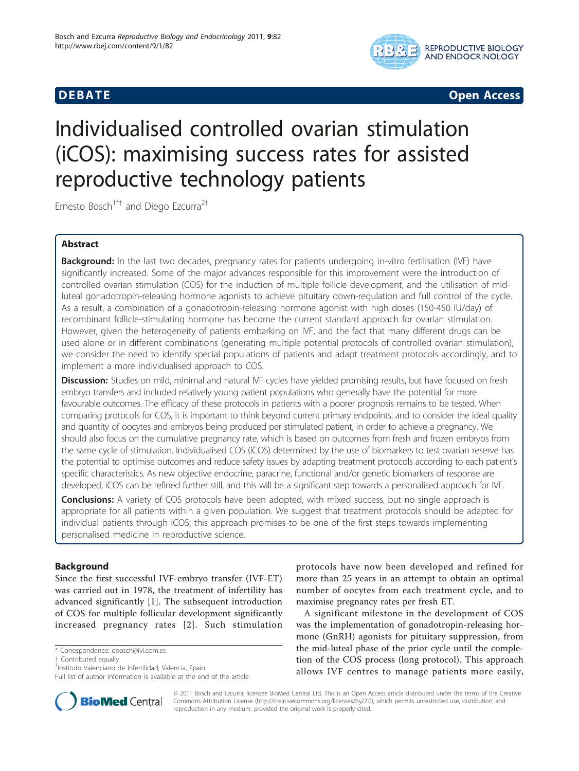

**DEBATE CONSIDERED ACCESS OPEN ACCESS** 

# Individualised controlled ovarian stimulation (iCOS): maximising success rates for assisted reproductive technology patients

Ernesto Bosch<sup>1\*†</sup> and Diego Ezcurra<sup>2†</sup>

# Abstract

**Background:** In the last two decades, pregnancy rates for patients undergoing in-vitro fertilisation (IVF) have significantly increased. Some of the major advances responsible for this improvement were the introduction of controlled ovarian stimulation (COS) for the induction of multiple follicle development, and the utilisation of midluteal gonadotropin-releasing hormone agonists to achieve pituitary down-regulation and full control of the cycle. As a result, a combination of a gonadotropin-releasing hormone agonist with high doses (150-450 IU/day) of recombinant follicle-stimulating hormone has become the current standard approach for ovarian stimulation. However, given the heterogeneity of patients embarking on IVF, and the fact that many different drugs can be used alone or in different combinations (generating multiple potential protocols of controlled ovarian stimulation), we consider the need to identify special populations of patients and adapt treatment protocols accordingly, and to implement a more individualised approach to COS.

Discussion: Studies on mild, minimal and natural IVF cycles have yielded promising results, but have focused on fresh embryo transfers and included relatively young patient populations who generally have the potential for more favourable outcomes. The efficacy of these protocols in patients with a poorer prognosis remains to be tested. When comparing protocols for COS, it is important to think beyond current primary endpoints, and to consider the ideal quality and quantity of oocytes and embryos being produced per stimulated patient, in order to achieve a pregnancy. We should also focus on the cumulative pregnancy rate, which is based on outcomes from fresh and frozen embryos from the same cycle of stimulation. Individualised COS (iCOS) determined by the use of biomarkers to test ovarian reserve has the potential to optimise outcomes and reduce safety issues by adapting treatment protocols according to each patient's specific characteristics. As new objective endocrine, paracrine, functional and/or genetic biomarkers of response are developed, iCOS can be refined further still, and this will be a significant step towards a personalised approach for IVF.

**Conclusions:** A variety of COS protocols have been adopted, with mixed success, but no single approach is appropriate for all patients within a given population. We suggest that treatment protocols should be adapted for individual patients through iCOS; this approach promises to be one of the first steps towards implementing personalised medicine in reproductive science.

# Background

Since the first successful IVF-embryo transfer (IVF-ET) was carried out in 1978, the treatment of infertility has advanced significantly [[1\]](#page-6-0). The subsequent introduction of COS for multiple follicular development significantly increased pregnancy rates [[2](#page-6-0)]. Such stimulation

† Contributed equally <sup>1</sup>

<sup>1</sup>Instituto Valenciano de Infertilidad, Valencia, Spain

Full list of author information is available at the end of the article



A significant milestone in the development of COS was the implementation of gonadotropin-releasing hormone (GnRH) agonists for pituitary suppression, from the mid-luteal phase of the prior cycle until the completion of the COS process (long protocol). This approach allows IVF centres to manage patients more easily,



© 2011 Bosch and Ezcurra; licensee BioMed Central Ltd. This is an Open Access article distributed under the terms of the Creative Commons Attribution License [\(http://creativecommons.org/licenses/by/2.0](http://creativecommons.org/licenses/by/2.0)), which permits unrestricted use, distribution, and reproduction in any medium, provided the original work is properly cited.

<sup>\*</sup> Correspondence: [ebosch@ivi.com.es](mailto:ebosch@ivi.com.es)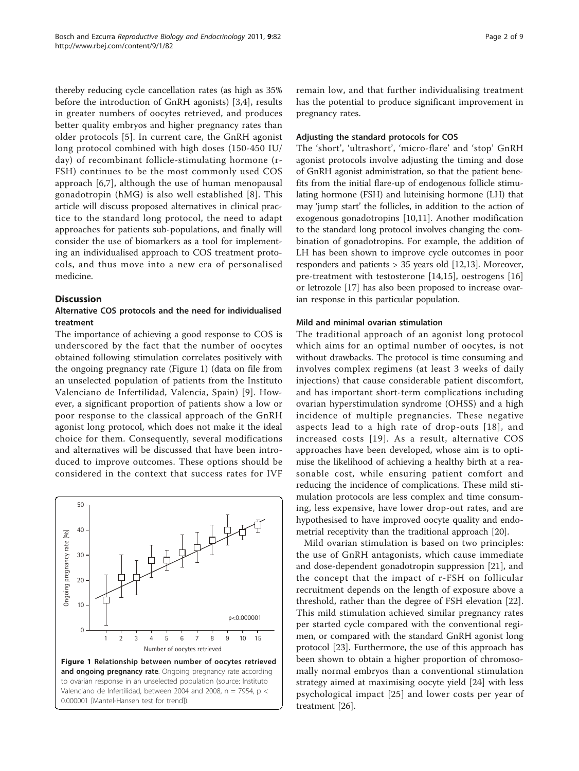thereby reducing cycle cancellation rates (as high as 35% before the introduction of GnRH agonists) [\[3](#page-6-0),[4\]](#page-6-0), results in greater numbers of oocytes retrieved, and produces better quality embryos and higher pregnancy rates than older protocols [\[5\]](#page-6-0). In current care, the GnRH agonist long protocol combined with high doses (150-450 IU/ day) of recombinant follicle-stimulating hormone (r-FSH) continues to be the most commonly used COS approach [[6,7](#page-6-0)], although the use of human menopausal gonadotropin (hMG) is also well established [[8](#page-6-0)]. This article will discuss proposed alternatives in clinical practice to the standard long protocol, the need to adapt approaches for patients sub-populations, and finally will consider the use of biomarkers as a tool for implementing an individualised approach to COS treatment protocols, and thus move into a new era of personalised medicine.

# Discussion

# Alternative COS protocols and the need for individualised treatment

The importance of achieving a good response to COS is underscored by the fact that the number of oocytes obtained following stimulation correlates positively with the ongoing pregnancy rate (Figure 1) (data on file from an unselected population of patients from the Instituto Valenciano de Infertilidad, Valencia, Spain) [\[9](#page-6-0)]. However, a significant proportion of patients show a low or poor response to the classical approach of the GnRH agonist long protocol, which does not make it the ideal choice for them. Consequently, several modifications and alternatives will be discussed that have been introduced to improve outcomes. These options should be considered in the context that success rates for IVF



remain low, and that further individualising treatment has the potential to produce significant improvement in pregnancy rates.

# Adjusting the standard protocols for COS

The 'short', 'ultrashort', 'micro-flare' and 'stop' GnRH agonist protocols involve adjusting the timing and dose of GnRH agonist administration, so that the patient benefits from the initial flare-up of endogenous follicle stimulating hormone (FSH) and luteinising hormone (LH) that may 'jump start' the follicles, in addition to the action of exogenous gonadotropins [[10,11\]](#page-6-0). Another modification to the standard long protocol involves changing the combination of gonadotropins. For example, the addition of LH has been shown to improve cycle outcomes in poor responders and patients > 35 years old [[12,13](#page-6-0)]. Moreover, pre-treatment with testosterone [[14,15\]](#page-6-0), oestrogens [\[16](#page-6-0)] or letrozole [\[17\]](#page-6-0) has also been proposed to increase ovarian response in this particular population.

# Mild and minimal ovarian stimulation

The traditional approach of an agonist long protocol which aims for an optimal number of oocytes, is not without drawbacks. The protocol is time consuming and involves complex regimens (at least 3 weeks of daily injections) that cause considerable patient discomfort, and has important short-term complications including ovarian hyperstimulation syndrome (OHSS) and a high incidence of multiple pregnancies. These negative aspects lead to a high rate of drop-outs [[18\]](#page-6-0), and increased costs [[19](#page-6-0)]. As a result, alternative COS approaches have been developed, whose aim is to optimise the likelihood of achieving a healthy birth at a reasonable cost, while ensuring patient comfort and reducing the incidence of complications. These mild stimulation protocols are less complex and time consuming, less expensive, have lower drop-out rates, and are hypothesised to have improved oocyte quality and endometrial receptivity than the traditional approach [[20\]](#page-6-0).

Mild ovarian stimulation is based on two principles: the use of GnRH antagonists, which cause immediate and dose-dependent gonadotropin suppression [[21\]](#page-6-0), and the concept that the impact of r-FSH on follicular recruitment depends on the length of exposure above a threshold, rather than the degree of FSH elevation [\[22](#page-6-0)]. This mild stimulation achieved similar pregnancy rates per started cycle compared with the conventional regimen, or compared with the standard GnRH agonist long protocol [[23](#page-6-0)]. Furthermore, the use of this approach has been shown to obtain a higher proportion of chromosomally normal embryos than a conventional stimulation strategy aimed at maximising oocyte yield [\[24\]](#page-6-0) with less psychological impact [\[25\]](#page-6-0) and lower costs per year of treatment [[26\]](#page-6-0).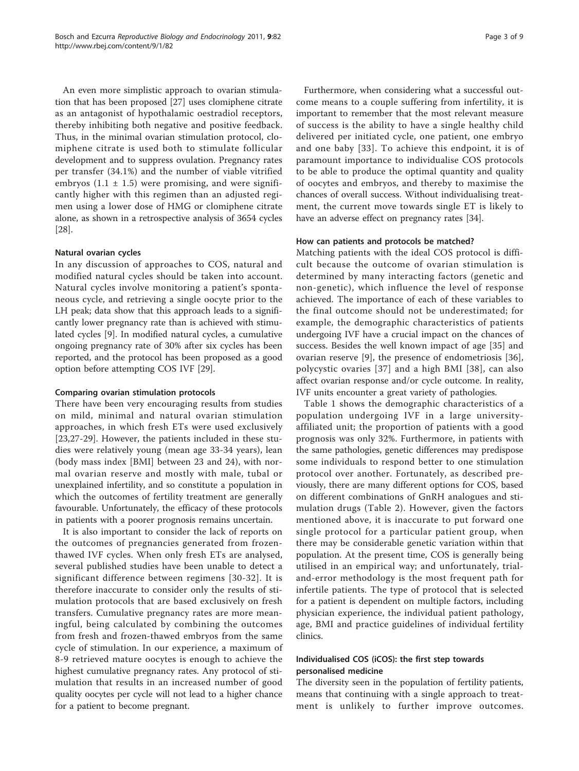An even more simplistic approach to ovarian stimulation that has been proposed [\[27\]](#page-6-0) uses clomiphene citrate as an antagonist of hypothalamic oestradiol receptors, thereby inhibiting both negative and positive feedback. Thus, in the minimal ovarian stimulation protocol, clomiphene citrate is used both to stimulate follicular development and to suppress ovulation. Pregnancy rates per transfer (34.1%) and the number of viable vitrified embryos  $(1.1 \pm 1.5)$  were promising, and were significantly higher with this regimen than an adjusted regimen using a lower dose of HMG or clomiphene citrate alone, as shown in a retrospective analysis of 3654 cycles [[28\]](#page-6-0).

# Natural ovarian cycles

In any discussion of approaches to COS, natural and modified natural cycles should be taken into account. Natural cycles involve monitoring a patient's spontaneous cycle, and retrieving a single oocyte prior to the LH peak; data show that this approach leads to a significantly lower pregnancy rate than is achieved with stimulated cycles [\[9](#page-6-0)]. In modified natural cycles, a cumulative ongoing pregnancy rate of 30% after six cycles has been reported, and the protocol has been proposed as a good option before attempting COS IVF [\[29](#page-6-0)].

#### Comparing ovarian stimulation protocols

There have been very encouraging results from studies on mild, minimal and natural ovarian stimulation approaches, in which fresh ETs were used exclusively [[23,27](#page-6-0)-[29\]](#page-6-0). However, the patients included in these studies were relatively young (mean age 33-34 years), lean (body mass index [BMI] between 23 and 24), with normal ovarian reserve and mostly with male, tubal or unexplained infertility, and so constitute a population in which the outcomes of fertility treatment are generally favourable. Unfortunately, the efficacy of these protocols in patients with a poorer prognosis remains uncertain.

It is also important to consider the lack of reports on the outcomes of pregnancies generated from frozenthawed IVF cycles. When only fresh ETs are analysed, several published studies have been unable to detect a significant difference between regimens [[30](#page-6-0)-[32\]](#page-6-0). It is therefore inaccurate to consider only the results of stimulation protocols that are based exclusively on fresh transfers. Cumulative pregnancy rates are more meaningful, being calculated by combining the outcomes from fresh and frozen-thawed embryos from the same cycle of stimulation. In our experience, a maximum of 8-9 retrieved mature oocytes is enough to achieve the highest cumulative pregnancy rates. Any protocol of stimulation that results in an increased number of good quality oocytes per cycle will not lead to a higher chance for a patient to become pregnant.

Furthermore, when considering what a successful outcome means to a couple suffering from infertility, it is important to remember that the most relevant measure of success is the ability to have a single healthy child delivered per initiated cycle, one patient, one embryo and one baby [[33](#page-6-0)]. To achieve this endpoint, it is of paramount importance to individualise COS protocols to be able to produce the optimal quantity and quality of oocytes and embryos, and thereby to maximise the chances of overall success. Without individualising treatment, the current move towards single ET is likely to have an adverse effect on pregnancy rates [[34](#page-6-0)].

#### How can patients and protocols be matched?

Matching patients with the ideal COS protocol is difficult because the outcome of ovarian stimulation is determined by many interacting factors (genetic and non-genetic), which influence the level of response achieved. The importance of each of these variables to the final outcome should not be underestimated; for example, the demographic characteristics of patients undergoing IVF have a crucial impact on the chances of success. Besides the well known impact of age [[35\]](#page-6-0) and ovarian reserve [\[9](#page-6-0)], the presence of endometriosis [[36](#page-6-0)], polycystic ovaries [[37](#page-6-0)] and a high BMI [[38\]](#page-6-0), can also affect ovarian response and/or cycle outcome. In reality, IVF units encounter a great variety of pathologies.

Table [1](#page-3-0) shows the demographic characteristics of a population undergoing IVF in a large universityaffiliated unit; the proportion of patients with a good prognosis was only 32%. Furthermore, in patients with the same pathologies, genetic differences may predispose some individuals to respond better to one stimulation protocol over another. Fortunately, as described previously, there are many different options for COS, based on different combinations of GnRH analogues and stimulation drugs (Table [2\)](#page-3-0). However, given the factors mentioned above, it is inaccurate to put forward one single protocol for a particular patient group, when there may be considerable genetic variation within that population. At the present time, COS is generally being utilised in an empirical way; and unfortunately, trialand-error methodology is the most frequent path for infertile patients. The type of protocol that is selected for a patient is dependent on multiple factors, including physician experience, the individual patient pathology, age, BMI and practice guidelines of individual fertility clinics.

# Individualised COS (iCOS): the first step towards personalised medicine

The diversity seen in the population of fertility patients, means that continuing with a single approach to treatment is unlikely to further improve outcomes.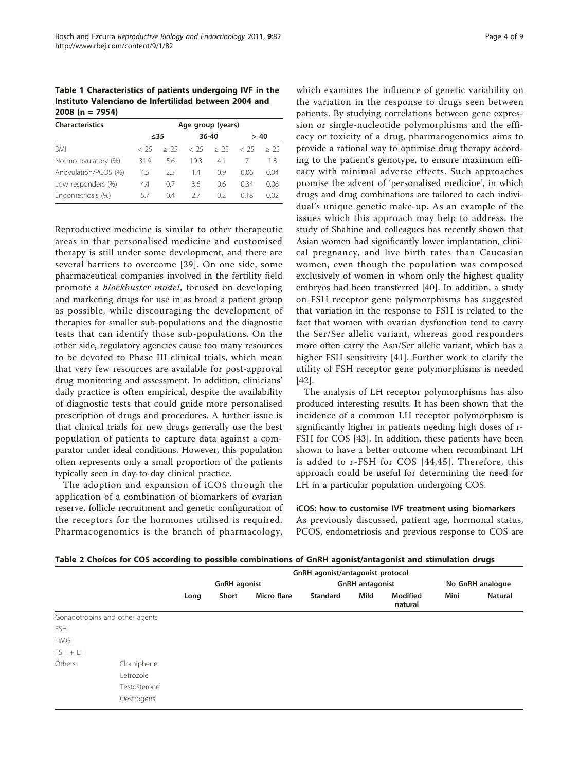<span id="page-3-0"></span>Table 1 Characteristics of patients undergoing IVF in the Instituto Valenciano de Infertilidad between 2004 and 2008 (n = 7954)

| <b>Characteristics</b> | Age group (years) |           |      |       |        |      |  |  |
|------------------------|-------------------|-----------|------|-------|--------|------|--|--|
|                        |                   | $\leq$ 35 |      | 36-40 | >40    |      |  |  |
| <b>BMI</b>             | < 25              | > 25      | < 25 | > 25  | $<$ 25 | > 25 |  |  |
| Normo ovulatory (%)    | 31.9              | 5.6       | 19.3 | 41    |        | 1.8  |  |  |
| Anovulation/PCOS (%)   | 4.5               | 25.       | 14   | 09    | 0.06   | 0.04 |  |  |
| Low responders (%)     | 4.4               | 07        | 3.6  | 0.6   | በ 34   | 0.06 |  |  |
| Endometriosis (%)      | 57                | 0.4       | 27   | 02    | 0.18   | 0.02 |  |  |

Reproductive medicine is similar to other therapeutic areas in that personalised medicine and customised therapy is still under some development, and there are several barriers to overcome [[39](#page-7-0)]. On one side, some pharmaceutical companies involved in the fertility field promote a blockbuster model, focused on developing and marketing drugs for use in as broad a patient group as possible, while discouraging the development of therapies for smaller sub-populations and the diagnostic tests that can identify those sub-populations. On the other side, regulatory agencies cause too many resources to be devoted to Phase III clinical trials, which mean that very few resources are available for post-approval drug monitoring and assessment. In addition, clinicians' daily practice is often empirical, despite the availability of diagnostic tests that could guide more personalised prescription of drugs and procedures. A further issue is that clinical trials for new drugs generally use the best population of patients to capture data against a comparator under ideal conditions. However, this population often represents only a small proportion of the patients typically seen in day-to-day clinical practice.

The adoption and expansion of iCOS through the application of a combination of biomarkers of ovarian reserve, follicle recruitment and genetic configuration of the receptors for the hormones utilised is required. Pharmacogenomics is the branch of pharmacology,

which examines the influence of genetic variability on the variation in the response to drugs seen between patients. By studying correlations between gene expression or single-nucleotide polymorphisms and the efficacy or toxicity of a drug, pharmacogenomics aims to provide a rational way to optimise drug therapy according to the patient's genotype, to ensure maximum efficacy with minimal adverse effects. Such approaches promise the advent of 'personalised medicine', in which drugs and drug combinations are tailored to each individual's unique genetic make-up. As an example of the issues which this approach may help to address, the study of Shahine and colleagues has recently shown that Asian women had significantly lower implantation, clinical pregnancy, and live birth rates than Caucasian women, even though the population was composed exclusively of women in whom only the highest quality embryos had been transferred [\[40](#page-7-0)]. In addition, a study on FSH receptor gene polymorphisms has suggested that variation in the response to FSH is related to the fact that women with ovarian dysfunction tend to carry the Ser/Ser allelic variant, whereas good responders more often carry the Asn/Ser allelic variant, which has a higher FSH sensitivity [\[41](#page-7-0)]. Further work to clarify the utility of FSH receptor gene polymorphisms is needed [[42\]](#page-7-0).

The analysis of LH receptor polymorphisms has also produced interesting results. It has been shown that the incidence of a common LH receptor polymorphism is significantly higher in patients needing high doses of r-FSH for COS [[43\]](#page-7-0). In addition, these patients have been shown to have a better outcome when recombinant LH is added to r-FSH for COS [[44](#page-7-0),[45\]](#page-7-0). Therefore, this approach could be useful for determining the need for LH in a particular population undergoing COS.

# iCOS: how to customise IVF treatment using biomarkers As previously discussed, patient age, hormonal status, PCOS, endometriosis and previous response to COS are

|            |                                | GnRH agonist/antagonist protocol |                     |                    |                 |                        |                            |      |                  |  |
|------------|--------------------------------|----------------------------------|---------------------|--------------------|-----------------|------------------------|----------------------------|------|------------------|--|
|            |                                |                                  | <b>GnRH</b> agonist |                    |                 | <b>GnRH</b> antagonist |                            |      | No GnRH analogue |  |
|            |                                | Long                             | Short               | <b>Micro flare</b> | <b>Standard</b> | Mild                   | <b>Modified</b><br>natural | Mini | <b>Natural</b>   |  |
|            | Gonadotropins and other agents |                                  |                     |                    |                 |                        |                            |      |                  |  |
| <b>FSH</b> |                                |                                  |                     |                    |                 |                        |                            |      |                  |  |
| <b>HMG</b> |                                |                                  |                     |                    |                 |                        |                            |      |                  |  |
| $FSH + LH$ |                                |                                  |                     |                    |                 |                        |                            |      |                  |  |
| Others:    | Clomiphene                     |                                  |                     |                    |                 |                        |                            |      |                  |  |
|            | Letrozole                      |                                  |                     |                    |                 |                        |                            |      |                  |  |
|            | Testosterone                   |                                  |                     |                    |                 |                        |                            |      |                  |  |
|            | Oestrogens                     |                                  |                     |                    |                 |                        |                            |      |                  |  |

Table 2 Choices for COS according to possible combinations of GnRH agonist/antagonist and stimulation drugs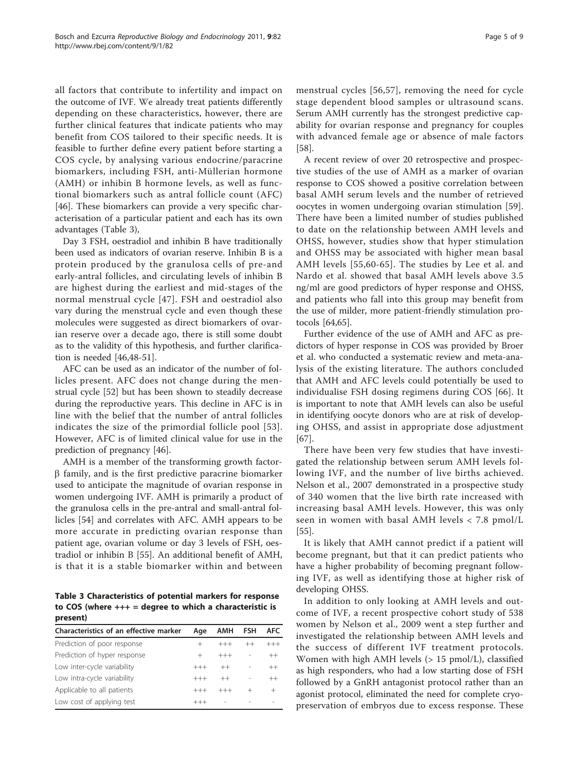all factors that contribute to infertility and impact on the outcome of IVF. We already treat patients differently depending on these characteristics, however, there are further clinical features that indicate patients who may benefit from COS tailored to their specific needs. It is feasible to further define every patient before starting a COS cycle, by analysing various endocrine/paracrine biomarkers, including FSH, anti-Müllerian hormone (AMH) or inhibin B hormone levels, as well as functional biomarkers such as antral follicle count (AFC) [[46\]](#page-7-0). These biomarkers can provide a very specific characterisation of a particular patient and each has its own advantages (Table 3),

Day 3 FSH, oestradiol and inhibin B have traditionally been used as indicators of ovarian reserve. Inhibin B is a protein produced by the granulosa cells of pre-and early-antral follicles, and circulating levels of inhibin B are highest during the earliest and mid-stages of the normal menstrual cycle [[47\]](#page-7-0). FSH and oestradiol also vary during the menstrual cycle and even though these molecules were suggested as direct biomarkers of ovarian reserve over a decade ago, there is still some doubt as to the validity of this hypothesis, and further clarification is needed [[46,48-51\]](#page-7-0).

AFC can be used as an indicator of the number of follicles present. AFC does not change during the menstrual cycle [\[52\]](#page-7-0) but has been shown to steadily decrease during the reproductive years. This decline in AFC is in line with the belief that the number of antral follicles indicates the size of the primordial follicle pool [[53\]](#page-7-0). However, AFC is of limited clinical value for use in the prediction of pregnancy [[46\]](#page-7-0).

AMH is a member of the transforming growth factor- $\beta$  family, and is the first predictive paracrine biomarker used to anticipate the magnitude of ovarian response in women undergoing IVF. AMH is primarily a product of the granulosa cells in the pre-antral and small-antral follicles [[54\]](#page-7-0) and correlates with AFC. AMH appears to be more accurate in predicting ovarian response than patient age, ovarian volume or day 3 levels of FSH, oestradiol or inhibin B [[55\]](#page-7-0). An additional benefit of AMH, is that it is a stable biomarker within and between

Table 3 Characteristics of potential markers for response to COS (where +++ = degree to which a characteristic is present)

| Characteristics of an effective marker | Aae      | AMH      | FSH     | AFC      |
|----------------------------------------|----------|----------|---------|----------|
| Prediction of poor response            |          | $^{+++}$ | $^{++}$ | $^{+++}$ |
| Prediction of hyper response           | $^{+}$   | $^{+++}$ |         | $^{++}$  |
| Low inter-cycle variability            | $^{+++}$ | $^{++}$  |         | $^{++}$  |
| Low intra-cycle variability            | $^{+++}$ | $^{++}$  |         | $^{++}$  |
| Applicable to all patients             | $^{+++}$ | $+++$    | $\pm$   | $^{+}$   |
| Low cost of applying test              | $^{+++}$ |          |         |          |

menstrual cycles [[56](#page-7-0),[57\]](#page-7-0), removing the need for cycle stage dependent blood samples or ultrasound scans. Serum AMH currently has the strongest predictive capability for ovarian response and pregnancy for couples with advanced female age or absence of male factors [[58\]](#page-7-0).

A recent review of over 20 retrospective and prospective studies of the use of AMH as a marker of ovarian response to COS showed a positive correlation between basal AMH serum levels and the number of retrieved oocytes in women undergoing ovarian stimulation [\[59](#page-7-0)]. There have been a limited number of studies published to date on the relationship between AMH levels and OHSS, however, studies show that hyper stimulation and OHSS may be associated with higher mean basal AMH levels [[55](#page-7-0),[60-65](#page-7-0)]. The studies by Lee et al. and Nardo et al. showed that basal AMH levels above 3.5 ng/ml are good predictors of hyper response and OHSS, and patients who fall into this group may benefit from the use of milder, more patient-friendly stimulation protocols [\[64,65\]](#page-7-0).

Further evidence of the use of AMH and AFC as predictors of hyper response in COS was provided by Broer et al. who conducted a systematic review and meta-analysis of the existing literature. The authors concluded that AMH and AFC levels could potentially be used to individualise FSH dosing regimens during COS [[66\]](#page-7-0). It is important to note that AMH levels can also be useful in identifying oocyte donors who are at risk of developing OHSS, and assist in appropriate dose adjustment [[67\]](#page-7-0).

There have been very few studies that have investigated the relationship between serum AMH levels following IVF, and the number of live births achieved. Nelson et al., 2007 demonstrated in a prospective study of 340 women that the live birth rate increased with increasing basal AMH levels. However, this was only seen in women with basal AMH levels < 7.8 pmol/L [[55\]](#page-7-0).

It is likely that AMH cannot predict if a patient will become pregnant, but that it can predict patients who have a higher probability of becoming pregnant following IVF, as well as identifying those at higher risk of developing OHSS.

In addition to only looking at AMH levels and outcome of IVF, a recent prospective cohort study of 538 women by Nelson et al., 2009 went a step further and investigated the relationship between AMH levels and the success of different IVF treatment protocols. Women with high AMH levels (> 15 pmol/L), classified as high responders, who had a low starting dose of FSH followed by a GnRH antagonist protocol rather than an agonist protocol, eliminated the need for complete cryopreservation of embryos due to excess response. These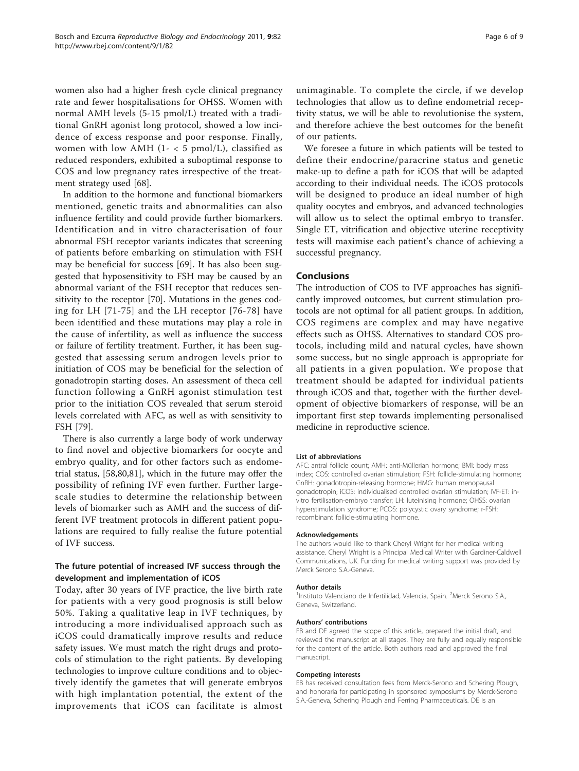women also had a higher fresh cycle clinical pregnancy rate and fewer hospitalisations for OHSS. Women with normal AMH levels (5-15 pmol/L) treated with a traditional GnRH agonist long protocol, showed a low incidence of excess response and poor response. Finally, women with low AMH  $(1 - < 5 \text{ pmol/L})$ , classified as reduced responders, exhibited a suboptimal response to COS and low pregnancy rates irrespective of the treatment strategy used [[68\]](#page-7-0).

In addition to the hormone and functional biomarkers mentioned, genetic traits and abnormalities can also influence fertility and could provide further biomarkers. Identification and in vitro characterisation of four abnormal FSH receptor variants indicates that screening of patients before embarking on stimulation with FSH may be beneficial for success [[69\]](#page-7-0). It has also been suggested that hyposensitivity to FSH may be caused by an abnormal variant of the FSH receptor that reduces sensitivity to the receptor [\[70\]](#page-7-0). Mutations in the genes coding for LH [[71-75](#page-7-0)] and the LH receptor [\[76-](#page-7-0)[78](#page-8-0)] have been identified and these mutations may play a role in the cause of infertility, as well as influence the success or failure of fertility treatment. Further, it has been suggested that assessing serum androgen levels prior to initiation of COS may be beneficial for the selection of gonadotropin starting doses. An assessment of theca cell function following a GnRH agonist stimulation test prior to the initiation COS revealed that serum steroid levels correlated with AFC, as well as with sensitivity to FSH [[79](#page-8-0)].

There is also currently a large body of work underway to find novel and objective biomarkers for oocyte and embryo quality, and for other factors such as endometrial status, [[58,](#page-7-0)[80,81\]](#page-8-0), which in the future may offer the possibility of refining IVF even further. Further largescale studies to determine the relationship between levels of biomarker such as AMH and the success of different IVF treatment protocols in different patient populations are required to fully realise the future potential of IVF success.

# The future potential of increased IVF success through the development and implementation of iCOS

Today, after 30 years of IVF practice, the live birth rate for patients with a very good prognosis is still below 50%. Taking a qualitative leap in IVF techniques, by introducing a more individualised approach such as iCOS could dramatically improve results and reduce safety issues. We must match the right drugs and protocols of stimulation to the right patients. By developing technologies to improve culture conditions and to objectively identify the gametes that will generate embryos with high implantation potential, the extent of the improvements that iCOS can facilitate is almost unimaginable. To complete the circle, if we develop technologies that allow us to define endometrial receptivity status, we will be able to revolutionise the system, and therefore achieve the best outcomes for the benefit of our patients.

We foresee a future in which patients will be tested to define their endocrine/paracrine status and genetic make-up to define a path for iCOS that will be adapted according to their individual needs. The iCOS protocols will be designed to produce an ideal number of high quality oocytes and embryos, and advanced technologies will allow us to select the optimal embryo to transfer. Single ET, vitrification and objective uterine receptivity tests will maximise each patient's chance of achieving a successful pregnancy.

# Conclusions

The introduction of COS to IVF approaches has significantly improved outcomes, but current stimulation protocols are not optimal for all patient groups. In addition, COS regimens are complex and may have negative effects such as OHSS. Alternatives to standard COS protocols, including mild and natural cycles, have shown some success, but no single approach is appropriate for all patients in a given population. We propose that treatment should be adapted for individual patients through iCOS and that, together with the further development of objective biomarkers of response, will be an important first step towards implementing personalised medicine in reproductive science.

#### List of abbreviations

AFC: antral follicle count; AMH: anti-Müllerian hormone; BMI: body mass index; COS: controlled ovarian stimulation; FSH: follicle-stimulating hormone; GnRH: gonadotropin-releasing hormone; HMG: human menopausal gonadotropin; iCOS: individualised controlled ovarian stimulation; IVF-ET: invitro fertilisation-embryo transfer; LH: luteinising hormone; OHSS: ovarian hyperstimulation syndrome; PCOS: polycystic ovary syndrome; r-FSH: recombinant follicle-stimulating hormone.

#### Acknowledgements

The authors would like to thank Cheryl Wright for her medical writing assistance. Cheryl Wright is a Principal Medical Writer with Gardiner-Caldwell Communications, UK. Funding for medical writing support was provided by Merck Serono S.A.-Geneva.

#### Author details

<sup>1</sup>Instituto Valenciano de Infertilidad, Valencia, Spain. <sup>2</sup>Merck Serono S.A. Geneva, Switzerland.

#### Authors' contributions

EB and DE agreed the scope of this article, prepared the initial draft, and reviewed the manuscript at all stages. They are fully and equally responsible for the content of the article. Both authors read and approved the final manuscript.

#### Competing interests

EB has received consultation fees from Merck-Serono and Schering Plough, and honoraria for participating in sponsored symposiums by Merck-Serono S.A.-Geneva, Schering Plough and Ferring Pharmaceuticals. DE is an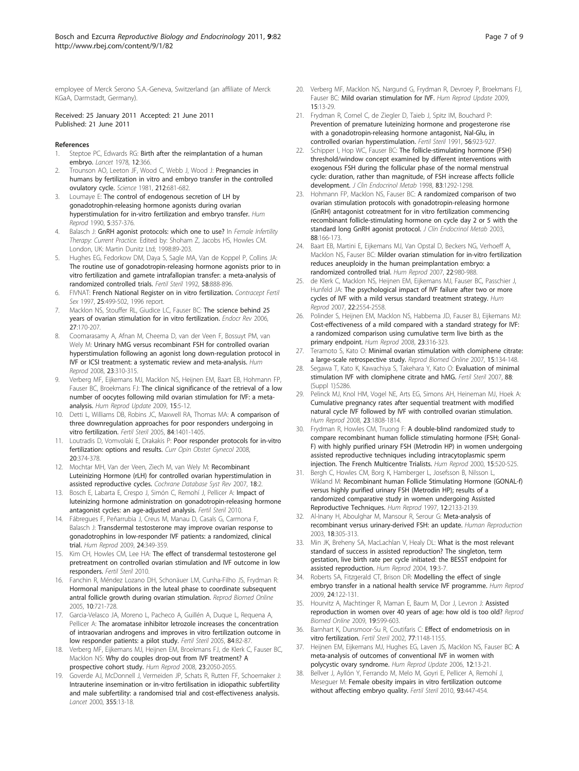<span id="page-6-0"></span>employee of Merck Serono S.A.-Geneva, Switzerland (an affiliate of Merck KGaA, Darmstadt, Germany).

Received: 25 January 2011 Accepted: 21 June 2011 Published: 21 June 2011

#### References

- Steptoe PC, Edwards RG: Birth after the reimplantation of a human embryo. Lancet 1978, 12:366.
- 2. Trounson AO, Leeton JF, Wood C, Webb J, Wood J: [Pregnancies in](http://www.ncbi.nlm.nih.gov/pubmed/7221557?dopt=Abstract) [humans by fertilization in vitro and embryo transfer in the controlled](http://www.ncbi.nlm.nih.gov/pubmed/7221557?dopt=Abstract) [ovulatory cycle.](http://www.ncbi.nlm.nih.gov/pubmed/7221557?dopt=Abstract) Science 1981, 212:681-682.
- 3. Loumaye E: [The control of endogenous secretion of LH by](http://www.ncbi.nlm.nih.gov/pubmed/2193939?dopt=Abstract) [gonadotrophin-releasing hormone agonists during ovarian](http://www.ncbi.nlm.nih.gov/pubmed/2193939?dopt=Abstract) [hyperstimulation for in-vitro fertilization and embryo transfer.](http://www.ncbi.nlm.nih.gov/pubmed/2193939?dopt=Abstract) Hum Reprod 1990, 5:357-376.
- 4. Balasch J: GnRH agonist protocols: which one to use? In Female Infertility Therapy: Current Practice. Edited by: Shoham Z, Jacobs HS, Howles CM. London, UK: Martin Dunitz Ltd; 1998:89-203.
- 5. Hughes EG, Fedorkow DM, Daya S, Sagle MA, Van de Koppel P, Collins JA: [The routine use of gonadotropin-releasing hormone agonists prior to in](http://www.ncbi.nlm.nih.gov/pubmed/1426372?dopt=Abstract) [vitro fertilization and gamete intrafallopian transfer: a meta-analysis of](http://www.ncbi.nlm.nih.gov/pubmed/1426372?dopt=Abstract) [randomized controlled trials.](http://www.ncbi.nlm.nih.gov/pubmed/1426372?dopt=Abstract) Fertil Steril 1992, 58:888-896.
- FIVNAT: [French National Register on in vitro fertilization.](http://www.ncbi.nlm.nih.gov/pubmed/9410352?dopt=Abstract) Contracept Fertil Sex 1997, 25:499-502, 1996 report.
- 7. Macklon NS, Stouffer RL, Giudice LC, Fauser BC: [The science behind 25](http://www.ncbi.nlm.nih.gov/pubmed/16434510?dopt=Abstract) [years of ovarian stimulation for in vitro fertilization.](http://www.ncbi.nlm.nih.gov/pubmed/16434510?dopt=Abstract) Endocr Rev 2006, 27:170-207.
- 8. Coomarasamy A, Afnan M, Cheema D, van der Veen F, Bossuyt PM, van Wely M: [Urinary hMG versus recombinant FSH for controlled ovarian](http://www.ncbi.nlm.nih.gov/pubmed/18056719?dopt=Abstract) [hyperstimulation following an agonist long down-regulation protocol in](http://www.ncbi.nlm.nih.gov/pubmed/18056719?dopt=Abstract) [IVF or ICSI treatment: a systematic review and meta-analysis.](http://www.ncbi.nlm.nih.gov/pubmed/18056719?dopt=Abstract) Hum Reprod 2008, 23:310-315.
- 9. Verberg MF, Eijkemans MJ, Macklon NS, Heijnen EM, Baart EB, Hohmann FP, Fauser BC, Broekmans FJ: [The clinical significance of the retrieval of a low](http://www.ncbi.nlm.nih.gov/pubmed/19091754?dopt=Abstract) [number of oocytes following mild ovarian stimulation for IVF: a meta](http://www.ncbi.nlm.nih.gov/pubmed/19091754?dopt=Abstract)[analysis.](http://www.ncbi.nlm.nih.gov/pubmed/19091754?dopt=Abstract) Hum Reprod Update 2009, 15:5-12.
- 10. Detti L, Williams DB, Robins JC, Maxwell RA, Thomas MA: [A comparison of](http://www.ncbi.nlm.nih.gov/pubmed/16275235?dopt=Abstract) [three downregulation approaches for poor responders undergoing in](http://www.ncbi.nlm.nih.gov/pubmed/16275235?dopt=Abstract) [vitro fertilization.](http://www.ncbi.nlm.nih.gov/pubmed/16275235?dopt=Abstract) Fertil Steril 2005, 84:1401-1405.
- 11. Loutradis D, Vomvolaki E, Drakakis P: [Poor responder protocols for in-vitro](http://www.ncbi.nlm.nih.gov/pubmed/18660689?dopt=Abstract) [fertilization: options and results.](http://www.ncbi.nlm.nih.gov/pubmed/18660689?dopt=Abstract) Curr Opin Obstet Gynecol 2008, 20:374-378.
- 12. Mochtar MH, Van der Veen, Ziech M, van Wely M: Recombinant Luteinizing Hormone (rLH) for controlled ovarian hyperstimulation in assisted reproductive cycles. Cochrane Database Syst Rev 2007, 18:2.
- 13. Bosch E, Labarta E, Crespo J, Simón C, Remohí J, Pellicer A: Impact of luteinizing hormone administration on gonadotropin-releasing hormone antagonist cycles: an age-adjusted analysis. Fertil Steril 2010.
- 14. Fábregues F, Peñarrubia J, Creus M, Manau D, Casals G, Carmona F, Balasch J: [Transdermal testosterone may improve ovarian response to](http://www.ncbi.nlm.nih.gov/pubmed/19054777?dopt=Abstract) [gonadotrophins in low-responder IVF patients: a randomized, clinical](http://www.ncbi.nlm.nih.gov/pubmed/19054777?dopt=Abstract) [trial.](http://www.ncbi.nlm.nih.gov/pubmed/19054777?dopt=Abstract) Hum Reprod 2009, 24:349-359.
- 15. Kim CH, Howles CM, Lee HA: The effect of transdermal testosterone gel pretreatment on controlled ovarian stimulation and IVF outcome in low responders. Fertil Steril 2010.
- 16. Fanchin R, Méndez Lozano DH, Schonäuer LM, Cunha-Filho JS, Frydman R: [Hormonal manipulations in the luteal phase to coordinate subsequent](http://www.ncbi.nlm.nih.gov/pubmed/15970000?dopt=Abstract) [antral follicle growth during ovarian stimulation.](http://www.ncbi.nlm.nih.gov/pubmed/15970000?dopt=Abstract) Reprod Biomed Online 2005, 10:721-728.
- 17. Garcia-Velasco JA, Moreno L, Pacheco A, Guillén A, Duque L, Requena A, Pellicer A: [The aromatase inhibitor letrozole increases the concentration](http://www.ncbi.nlm.nih.gov/pubmed/16009161?dopt=Abstract) [of intraovarian androgens and improves in vitro fertilization outcome in](http://www.ncbi.nlm.nih.gov/pubmed/16009161?dopt=Abstract) [low responder patients: a pilot study.](http://www.ncbi.nlm.nih.gov/pubmed/16009161?dopt=Abstract) Fertil Steril 2005, 84:82-87.
- 18. Verberg MF, Eijkemans MJ, Heijnen EM, Broekmans FJ, de Klerk C, Fauser BC, Macklon NS: [Why do couples drop-out from IVF treatment? A](http://www.ncbi.nlm.nih.gov/pubmed/18544578?dopt=Abstract) [prospective cohort study.](http://www.ncbi.nlm.nih.gov/pubmed/18544578?dopt=Abstract) Hum Reprod 2008, 23:2050-2055.
- 19. Goverde AJ, McDonnell J, Vermeiden JP, Schats R, Rutten FF, Schoemaker J: [Intrauterine insemination or in-vitro fertilisation in idiopathic subfertility](http://www.ncbi.nlm.nih.gov/pubmed/10615885?dopt=Abstract) [and male subfertility: a randomised trial and cost-effectiveness analysis.](http://www.ncbi.nlm.nih.gov/pubmed/10615885?dopt=Abstract) Lancet 2000, 355:13-18.
- 20. Verberg MF, Macklon NS, Nargund G, Frydman R, Devroey P, Broekmans FJ, Fauser BC: [Mild ovarian stimulation for IVF.](http://www.ncbi.nlm.nih.gov/pubmed/19091755?dopt=Abstract) Hum Reprod Update 2009, 15:13-29.
- 21. Frydman R, Cornel C, de Ziegler D, Taieb J, Spitz IM, Bouchard P: [Prevention of premature luteinizing hormone and progesterone rise](http://www.ncbi.nlm.nih.gov/pubmed/1936328?dopt=Abstract) [with a gonadotropin-releasing hormone antagonist, Nal-Glu, in](http://www.ncbi.nlm.nih.gov/pubmed/1936328?dopt=Abstract) [controlled ovarian hyperstimulation.](http://www.ncbi.nlm.nih.gov/pubmed/1936328?dopt=Abstract) Fertil Steril 1991, 56:923-927.
- 22. Schipper I, Hop WC, Fauser BC: [The follicle-stimulating hormone \(FSH\)](http://www.ncbi.nlm.nih.gov/pubmed/9543158?dopt=Abstract) [threshold/window concept examined by different interventions with](http://www.ncbi.nlm.nih.gov/pubmed/9543158?dopt=Abstract) [exogenous FSH during the follicular phase of the normal menstrual](http://www.ncbi.nlm.nih.gov/pubmed/9543158?dopt=Abstract) [cycle: duration, rather than magnitude, of FSH increase affects follicle](http://www.ncbi.nlm.nih.gov/pubmed/9543158?dopt=Abstract) [development.](http://www.ncbi.nlm.nih.gov/pubmed/9543158?dopt=Abstract) J Clin Endocrinol Metab 1998, 83:1292-1298.
- 23. Hohmann FP, Macklon NS, Fauser BC: [A randomized comparison of two](http://www.ncbi.nlm.nih.gov/pubmed/12519847?dopt=Abstract) [ovarian stimulation protocols with gonadotropin-releasing hormone](http://www.ncbi.nlm.nih.gov/pubmed/12519847?dopt=Abstract) [\(GnRH\) antagonist cotreatment for in vitro fertilization commencing](http://www.ncbi.nlm.nih.gov/pubmed/12519847?dopt=Abstract) [recombinant follicle-stimulating hormone on cycle day 2 or 5 with the](http://www.ncbi.nlm.nih.gov/pubmed/12519847?dopt=Abstract) [standard long GnRH agonist protocol.](http://www.ncbi.nlm.nih.gov/pubmed/12519847?dopt=Abstract) J Clin Endocrinol Metab 2003, 88:166-173.
- Baart EB, Martini E, Eijkemans MJ, Van Opstal D, Beckers NG, Verhoeff A, Macklon NS, Fauser BC: [Milder ovarian stimulation for in-vitro fertilization](http://www.ncbi.nlm.nih.gov/pubmed/17204525?dopt=Abstract) [reduces aneuploidy in the human preimplantation embryo: a](http://www.ncbi.nlm.nih.gov/pubmed/17204525?dopt=Abstract) [randomized controlled trial.](http://www.ncbi.nlm.nih.gov/pubmed/17204525?dopt=Abstract) Hum Reprod 2007, 22:980-988.
- 25. de Klerk C, Macklon NS, Heijnen EM, Eijkemans MJ, Fauser BC, Passchier J, Hunfeld JA: [The psychological impact of IVF failure after two or more](http://www.ncbi.nlm.nih.gov/pubmed/17586832?dopt=Abstract) [cycles of IVF with a mild versus standard treatment strategy.](http://www.ncbi.nlm.nih.gov/pubmed/17586832?dopt=Abstract) Hum Reprod 2007, 22:2554-2558.
- 26. Polinder S, Heijnen EM, Macklon NS, Habbema JD, Fauser BJ, Eijkemans MJ: [Cost-effectiveness of a mild compared with a standard strategy for IVF:](http://www.ncbi.nlm.nih.gov/pubmed/18033807?dopt=Abstract) [a randomized comparison using cumulative term live birth as the](http://www.ncbi.nlm.nih.gov/pubmed/18033807?dopt=Abstract) [primary endpoint.](http://www.ncbi.nlm.nih.gov/pubmed/18033807?dopt=Abstract) Hum Reprod 2008, 23:316-323.
- 27. Teramoto S, Kato O: [Minimal ovarian stimulation with clomiphene citrate:](http://www.ncbi.nlm.nih.gov/pubmed/17697488?dopt=Abstract) [a large-scale retrospective study.](http://www.ncbi.nlm.nih.gov/pubmed/17697488?dopt=Abstract) Reprod Biomed Online 2007, 15:134-148.
- 28. Segawa T, Kato K, Kawachiya S, Takehara Y, Kato O: Evaluation of minimal stimulation IVF with clomiphene citrate and hMG. Fertil Steril 2007, 88: (Suppl 1):S286.
- 29. Pelinck MJ, Knol HM, Vogel NE, Arts EG, Simons AH, Heineman MJ, Hoek A: [Cumulative pregnancy rates after sequential treatment with modified](http://www.ncbi.nlm.nih.gov/pubmed/18480088?dopt=Abstract) [natural cycle IVF followed by IVF with controlled ovarian stimulation.](http://www.ncbi.nlm.nih.gov/pubmed/18480088?dopt=Abstract) Hum Reprod 2008, 23:1808-1814.
- 30. Frydman R, Howles CM, Truong F: [A double-blind randomized study to](http://www.ncbi.nlm.nih.gov/pubmed/10686190?dopt=Abstract) [compare recombinant human follicle stimulating hormone \(FSH; Gonal-](http://www.ncbi.nlm.nih.gov/pubmed/10686190?dopt=Abstract)[F\) with highly purified urinary FSH \(Metrodin HP\) in women undergoing](http://www.ncbi.nlm.nih.gov/pubmed/10686190?dopt=Abstract) [assisted reproductive techniques including intracytoplasmic sperm](http://www.ncbi.nlm.nih.gov/pubmed/10686190?dopt=Abstract) [injection. The French Multicentre Trialists.](http://www.ncbi.nlm.nih.gov/pubmed/10686190?dopt=Abstract) Hum Reprod 2000, 15:520-525.
- 31. Bergh C, Howles CM, Borg K, Hamberger L, Josefsson B, Nilsson L, Wikland M: [Recombinant human Follicle Stimulating Hormone \(GONAL-f\)](http://www.ncbi.nlm.nih.gov/pubmed/9402268?dopt=Abstract) [versus highly purified urinary FSH \(Metrodin HP\); results of a](http://www.ncbi.nlm.nih.gov/pubmed/9402268?dopt=Abstract) [randomized comparative study in women undergoing Assisted](http://www.ncbi.nlm.nih.gov/pubmed/9402268?dopt=Abstract) [Reproductive Techniques.](http://www.ncbi.nlm.nih.gov/pubmed/9402268?dopt=Abstract) Hum Reprod 1997, 12:2133-2139.
- 32. Al-Inany H, Aboulghar M, Mansour R, Serour G: [Meta-analysis of](http://www.ncbi.nlm.nih.gov/pubmed/12571166?dopt=Abstract) [recombinant versus urinary-derived FSH: an update.](http://www.ncbi.nlm.nih.gov/pubmed/12571166?dopt=Abstract) Human Reproduction 2003, 18:305-313.
- 33. Min JK, Breheny SA, MacLachlan V, Healy DL: [What is the most relevant](http://www.ncbi.nlm.nih.gov/pubmed/14688149?dopt=Abstract) [standard of success in assisted reproduction? The singleton, term](http://www.ncbi.nlm.nih.gov/pubmed/14688149?dopt=Abstract) [gestation, live birth rate per cycle initiated: the BESST endpoint for](http://www.ncbi.nlm.nih.gov/pubmed/14688149?dopt=Abstract) [assisted reproduction.](http://www.ncbi.nlm.nih.gov/pubmed/14688149?dopt=Abstract) Hum Reprod 2004, 19:3-7.
- 34. Roberts SA, Fitzgerald CT, Brison DR: [Modelling the effect of single](http://www.ncbi.nlm.nih.gov/pubmed/18854404?dopt=Abstract) [embryo transfer in a national health service IVF programme.](http://www.ncbi.nlm.nih.gov/pubmed/18854404?dopt=Abstract) Hum Reprod 2009, 24:122-131.
- 35. Hourvitz A, Machtinger R, Maman E, Baum M, Dor J, Levron J: [Assisted](http://www.ncbi.nlm.nih.gov/pubmed/19909604?dopt=Abstract) [reproduction in women over 40 years of age: how old is too old?](http://www.ncbi.nlm.nih.gov/pubmed/19909604?dopt=Abstract) Reprod Biomed Online 2009, 19:599-603.
- 36. Barnhart K, Dunsmoor-Su R, Coutifaris C: [Effect of endometriosis on in](http://www.ncbi.nlm.nih.gov/pubmed/12057720?dopt=Abstract) [vitro fertilization.](http://www.ncbi.nlm.nih.gov/pubmed/12057720?dopt=Abstract) Fertil Steril 2002, 77:1148-1155.
- 37. Heijnen EM, Eijkemans MJ, Hughes EG, Laven JS, Macklon NS, Fauser BC: [A](http://www.ncbi.nlm.nih.gov/pubmed/16123051?dopt=Abstract) [meta-analysis of outcomes of conventional IVF in women with](http://www.ncbi.nlm.nih.gov/pubmed/16123051?dopt=Abstract) [polycystic ovary syndrome.](http://www.ncbi.nlm.nih.gov/pubmed/16123051?dopt=Abstract) Hum Reprod Update 2006, 12:13-21.
- 38. Bellver J, Ayllón Y, Ferrando M, Melo M, Goyri E, Pellicer A, Remohí J, Meseguer M: [Female obesity impairs in vitro fertilization outcome](http://www.ncbi.nlm.nih.gov/pubmed/19171335?dopt=Abstract) [without affecting embryo quality.](http://www.ncbi.nlm.nih.gov/pubmed/19171335?dopt=Abstract) Fertil Steril 2010, 93:447-454.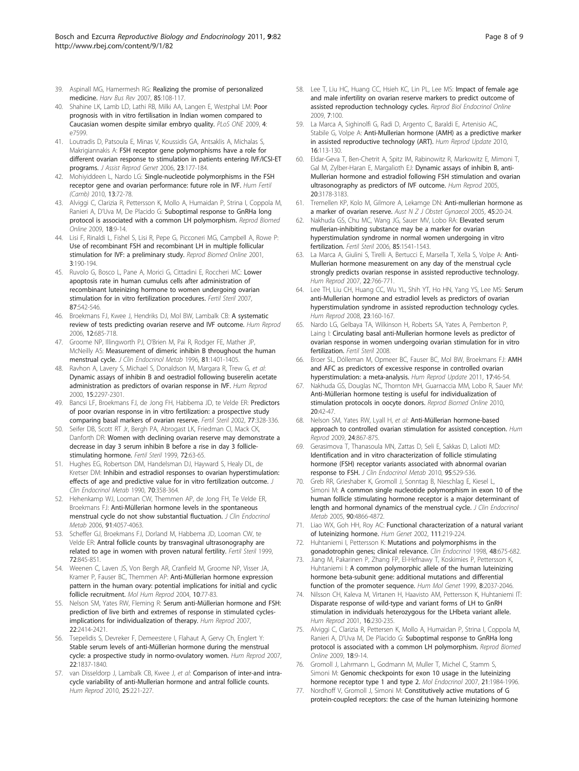- <span id="page-7-0"></span>39. Aspinall MG, Hamermesh RG: [Realizing the promise of personalized](http://www.ncbi.nlm.nih.gov/pubmed/17972499?dopt=Abstract) [medicine.](http://www.ncbi.nlm.nih.gov/pubmed/17972499?dopt=Abstract) Harv Bus Rev 2007, 85:108-117.
- 40. Shahine LK, Lamb LD, Lathi RB, Milki AA, Langen E, Westphal LM: [Poor](http://www.ncbi.nlm.nih.gov/pubmed/19855835?dopt=Abstract) [prognosis with in vitro fertilisation in Indian women compared to](http://www.ncbi.nlm.nih.gov/pubmed/19855835?dopt=Abstract) [Caucasian women despite similar embryo quality.](http://www.ncbi.nlm.nih.gov/pubmed/19855835?dopt=Abstract) PLoS ONE 2009, 4: e7599.
- 41. Loutradis D, Patsoula E, Minas V, Koussidis GA, Antsaklis A, Michalas S, Makrigiannakis A: [FSH receptor gene polymorphisms have a role for](http://www.ncbi.nlm.nih.gov/pubmed/16758348?dopt=Abstract) [different ovarian response to stimulation in patients entering IVF/ICSI-ET](http://www.ncbi.nlm.nih.gov/pubmed/16758348?dopt=Abstract) [programs.](http://www.ncbi.nlm.nih.gov/pubmed/16758348?dopt=Abstract) J Assist Reprod Genet 2006, 23:177-184.
- 42. Mohiyiddeen L, Nardo LG: Single-nucleotide polymorphisms in the FSH receptor gene and ovarian performance: future role in IVF. Hum Fertil (Camb) 2010, 13:72-78.
- 43. Alviggi C, Clarizia R, Pettersson K, Mollo A, Humaidan P, Strina I, Coppola M, Ranieri A, D'Uva M, De Placido G: [Suboptimal response to GnRHa long](http://www.ncbi.nlm.nih.gov/pubmed/19146763?dopt=Abstract) [protocol is associated with a common LH polymorphism.](http://www.ncbi.nlm.nih.gov/pubmed/19146763?dopt=Abstract) Reprod Biomed Online 2009, 18:9-14.
- 44. Lisi F, Rinaldi L, Fishel S, Lisi R, Pepe G, Picconeri MG, Campbell A, Rowe P: [Use of recombinant FSH and recombinant LH in multiple follicular](http://www.ncbi.nlm.nih.gov/pubmed/12513853?dopt=Abstract) [stimulation for IVF: a preliminary study.](http://www.ncbi.nlm.nih.gov/pubmed/12513853?dopt=Abstract) Reprod Biomed Online 2001, 3:190-194.
- 45. Ruvolo G, Bosco L, Pane A, Morici G, Cittadini E, Roccheri MC: [Lower](http://www.ncbi.nlm.nih.gov/pubmed/17126339?dopt=Abstract) [apoptosis rate in human cumulus cells after administration of](http://www.ncbi.nlm.nih.gov/pubmed/17126339?dopt=Abstract) [recombinant luteinizing hormone to women undergoing ovarian](http://www.ncbi.nlm.nih.gov/pubmed/17126339?dopt=Abstract) [stimulation for in vitro fertilization procedures.](http://www.ncbi.nlm.nih.gov/pubmed/17126339?dopt=Abstract) Fertil Steril 2007, 87:542-546.
- 46. Broekmans FJ, Kwee J, Hendriks DJ, Mol BW, Lambalk CB: A systematic review of tests predicting ovarian reserve and IVF outcome. Hum Reprod 2006, 12:685-718.
- 47. Groome NP, Illingworth PJ, O'Brien M, Pai R, Rodger FE, Mather JP, McNeilly AS: [Measurement of dimeric inhibin B throughout the human](http://www.ncbi.nlm.nih.gov/pubmed/8636341?dopt=Abstract) [menstrual cycle.](http://www.ncbi.nlm.nih.gov/pubmed/8636341?dopt=Abstract) J Clin Endocrinol Metab 1996, 81:1401-1405.
- 48. Ravhon A, Lavery S, Michael S, Donaldson M, Margara R, Trew G, et al: [Dynamic assays of inhibin B and oestradiol following buserelin acetate](http://www.ncbi.nlm.nih.gov/pubmed/11056122?dopt=Abstract) [administration as predictors of ovarian response in IVF.](http://www.ncbi.nlm.nih.gov/pubmed/11056122?dopt=Abstract) Hum Reprod 2000, 15:2297-2301.
- 49. Bancsi LF, Broekmans FJ, de Jong FH, Habbema JD, te Velde ER: [Predictors](http://www.ncbi.nlm.nih.gov/pubmed/11821092?dopt=Abstract) [of poor ovarian response in in vitro fertilization: a prospective study](http://www.ncbi.nlm.nih.gov/pubmed/11821092?dopt=Abstract) [comparing basal markers of ovarian reserve.](http://www.ncbi.nlm.nih.gov/pubmed/11821092?dopt=Abstract) Fertil Steril 2002, 77:328-336.
- 50. Seifer DB, Scott RT Jr, Bergh PA, Abrogast LK, Friedman CI, Mack CK, Danforth DR: [Women with declining ovarian reserve may demonstrate a](http://www.ncbi.nlm.nih.gov/pubmed/10428149?dopt=Abstract) [decrease in day 3 serum inhibin B before a rise in day 3 follicle](http://www.ncbi.nlm.nih.gov/pubmed/10428149?dopt=Abstract)[stimulating hormone.](http://www.ncbi.nlm.nih.gov/pubmed/10428149?dopt=Abstract) Fertil Steril 1999, 72:63-65.
- 51. Hughes EG, Robertson DM, Handelsman DJ, Hayward S, Healy DL, de Kretser DM: [Inhibin and estradiol responses to ovarian hyperstimulation:](http://www.ncbi.nlm.nih.gov/pubmed/2298853?dopt=Abstract) [effects of age and predictive value for in vitro fertilization outcome.](http://www.ncbi.nlm.nih.gov/pubmed/2298853?dopt=Abstract) J Clin Endocrinol Metab 1990, 70:358-364.
- 52. Hehenkamp WJ, Looman CW, Themmen AP, de Jong FH, Te Velde ER, Broekmans FJ: [Anti-Müllerian hormone levels in the spontaneous](http://www.ncbi.nlm.nih.gov/pubmed/16804046?dopt=Abstract) [menstrual cycle do not show substantial fluctuation.](http://www.ncbi.nlm.nih.gov/pubmed/16804046?dopt=Abstract) J Clin Endocrinol Metab 2006, 91:4057-4063.
- 53. Scheffer GJ, Broekmans FJ, Dorland M, Habbema JD, Looman CW, te Velde ER: [Antral follicle counts by transvaginal ultrasonography are](http://www.ncbi.nlm.nih.gov/pubmed/10560988?dopt=Abstract) [related to age in women with proven natural fertility.](http://www.ncbi.nlm.nih.gov/pubmed/10560988?dopt=Abstract) Fertil Steril 1999, 72:845-851.
- 54. Weenen C, Laven JS, Von Bergh AR, Cranfield M, Groome NP, Visser JA, Kramer P, Fauser BC, Themmen AP: [Anti-Müllerian hormone expression](http://www.ncbi.nlm.nih.gov/pubmed/14742691?dopt=Abstract) [pattern in the human ovary: potential implications for initial and cyclic](http://www.ncbi.nlm.nih.gov/pubmed/14742691?dopt=Abstract) [follicle recruitment.](http://www.ncbi.nlm.nih.gov/pubmed/14742691?dopt=Abstract) Mol Hum Reprod 2004, 10:77-83.
- 55. Nelson SM, Yates RW, Fleming R: [Serum anti-Müllerian hormone and FSH:](http://www.ncbi.nlm.nih.gov/pubmed/17636277?dopt=Abstract) [prediction of live birth and extremes of response in stimulated cycles](http://www.ncbi.nlm.nih.gov/pubmed/17636277?dopt=Abstract)[implications for individualization of therapy.](http://www.ncbi.nlm.nih.gov/pubmed/17636277?dopt=Abstract) Hum Reprod 2007, 22:2414-2421.
- 56. Tsepelidis S, Devreker F, Demeestere I, Flahaut A, Gervy Ch, Englert Y: [Stable serum levels of anti-Müllerian hormone during the menstrual](http://www.ncbi.nlm.nih.gov/pubmed/17485437?dopt=Abstract) [cycle: a prospective study in normo-ovulatory women.](http://www.ncbi.nlm.nih.gov/pubmed/17485437?dopt=Abstract) Hum Reprod 2007, 22:1837-1840.
- 57. van Disseldorp J, Lambalk CB, Kwee J, et al: [Comparison of inter-and intra](http://www.ncbi.nlm.nih.gov/pubmed/19840990?dopt=Abstract)[cycle variability of anti-Mullerian hormone and antral follicle counts.](http://www.ncbi.nlm.nih.gov/pubmed/19840990?dopt=Abstract) Hum Reprod 2010, 25:221-227.
- 58. Lee T, Liu HC, Huang CC, Hsieh KC, Lin PL, Lee MS: Impact of female age and male infertility on ovarian reserve markers to predict outcome of assisted reproduction technology cycles. Reprod Biol Endocrinol Online 2009, 7:100.
- 59. La Marca A, Sighinolfi G, Radi D, Argento C, Baraldi E, Artenisio AC, Stabile G, Volpe A: [Anti-Mullerian hormone \(AMH\) as a predictive marker](http://www.ncbi.nlm.nih.gov/pubmed/19793843?dopt=Abstract) [in assisted reproductive technology \(ART\).](http://www.ncbi.nlm.nih.gov/pubmed/19793843?dopt=Abstract) Hum Reprod Update 2010, 16:113-130.
- 60. Eldar-Geva T, Ben-Chetrit A, Spitz IM, Rabinowitz R, Markowitz E, Mimoni T, Gal M, Zylber-Haran E, Margalioth EJ: [Dynamic assays of inhibin B, anti-](http://www.ncbi.nlm.nih.gov/pubmed/16113044?dopt=Abstract)[Mullerian hormone and estradiol following FSH stimulation and ovarian](http://www.ncbi.nlm.nih.gov/pubmed/16113044?dopt=Abstract) [ultrasonography as predictors of IVF outcome.](http://www.ncbi.nlm.nih.gov/pubmed/16113044?dopt=Abstract) Hum Reprod 2005, 20:3178-3183.
- 61. Tremellen KP, Kolo M, Gilmore A, Lekamge DN: [Anti-mullerian hormone as](http://www.ncbi.nlm.nih.gov/pubmed/15730360?dopt=Abstract) [a marker of ovarian reserve.](http://www.ncbi.nlm.nih.gov/pubmed/15730360?dopt=Abstract) Aust N Z J Obstet Gynaecol 2005, 45:20-24.
- 62. Nakhuda GS, Chu MC, Wang JG, Sauer MV, Lobo RA: [Elevated serum](http://www.ncbi.nlm.nih.gov/pubmed/16566934?dopt=Abstract) [mullerian-inhibiting substance may be a marker for ovarian](http://www.ncbi.nlm.nih.gov/pubmed/16566934?dopt=Abstract) [hyperstimulation syndrome in normal women undergoing in vitro](http://www.ncbi.nlm.nih.gov/pubmed/16566934?dopt=Abstract) [fertilization.](http://www.ncbi.nlm.nih.gov/pubmed/16566934?dopt=Abstract) Fertil Steril 2006, 85:1541-1543.
- 63. La Marca A, Giulini S, Tirelli A, Bertucci E, Marsella T, Xella S, Volpe A: [Anti-](http://www.ncbi.nlm.nih.gov/pubmed/17071823?dopt=Abstract)[Mullerian hormone measurement on any day of the menstrual cycle](http://www.ncbi.nlm.nih.gov/pubmed/17071823?dopt=Abstract) [strongly predicts ovarian response in assisted reproductive technology.](http://www.ncbi.nlm.nih.gov/pubmed/17071823?dopt=Abstract) Hum Reprod 2007, 22:766-771.
- 64. Lee TH, Liu CH, Huang CC, Wu YL, Shih YT, Ho HN, Yang YS, Lee MS: [Serum](http://www.ncbi.nlm.nih.gov/pubmed/18000172?dopt=Abstract) [anti-Mullerian hormone and estradiol levels as predictors of ovarian](http://www.ncbi.nlm.nih.gov/pubmed/18000172?dopt=Abstract) [hyperstimulation syndrome in assisted reproduction technology cycles.](http://www.ncbi.nlm.nih.gov/pubmed/18000172?dopt=Abstract) Hum Reprod 2008, 23:160-167.
- 65. Nardo LG, Gelbaya TA, Wilkinson H, Roberts SA, Yates A, Pemberton P, Laing I: Circulating basal anti-Mullerian hormone levels as predictor of ovarian response in women undergoing ovarian stimulation for in vitro fertilization. Fertil Steril 2008.
- 66. Broer SL, Dólleman M, Opmeer BC, Fauser BC, Mol BW, Broekmans FJ: [AMH](http://www.ncbi.nlm.nih.gov/pubmed/20667894?dopt=Abstract) [and AFC as predictors of excessive response in controlled ovarian](http://www.ncbi.nlm.nih.gov/pubmed/20667894?dopt=Abstract) [hyperstimulation: a meta-analysis.](http://www.ncbi.nlm.nih.gov/pubmed/20667894?dopt=Abstract) Hum Reprod Update 2011, 17:46-54.
- 67. Nakhuda GS, Douglas NC, Thornton MH, Guarnaccia MM, Lobo R, Sauer MV: [Anti-Müllerian hormone testing is useful for individualization of](http://www.ncbi.nlm.nih.gov/pubmed/20158986?dopt=Abstract) [stimulation protocols in oocyte donors.](http://www.ncbi.nlm.nih.gov/pubmed/20158986?dopt=Abstract) Reprod Biomed Online 2010, 20:42-47.
- 68. Nelson SM, Yates RW, Lyall H, et al: [Anti-Müllerian hormone-based](http://www.ncbi.nlm.nih.gov/pubmed/19136673?dopt=Abstract) [approach to controlled ovarian stimulation for assisted conception.](http://www.ncbi.nlm.nih.gov/pubmed/19136673?dopt=Abstract) Hum Reprod 2009, 24:867-875.
- Gerasimova T, Thanasoula MN, Zattas D, Seli E, Sakkas D, Lalioti MD: [Identification and in vitro characterization of follicle stimulating](http://www.ncbi.nlm.nih.gov/pubmed/20061434?dopt=Abstract) [hormone \(FSH\) receptor variants associated with abnormal ovarian](http://www.ncbi.nlm.nih.gov/pubmed/20061434?dopt=Abstract) [response to FSH.](http://www.ncbi.nlm.nih.gov/pubmed/20061434?dopt=Abstract) J Clin Endocrinol Metab 2010, 95:529-536.
- 70. Greb RR, Grieshaber K, Gromoll J, Sonntag B, Nieschlag E, Kiesel L, Simoni M: [A common single nucleotide polymorphism in exon 10 of the](http://www.ncbi.nlm.nih.gov/pubmed/15886248?dopt=Abstract) [human follicle stimulating hormone receptor is a major determinant of](http://www.ncbi.nlm.nih.gov/pubmed/15886248?dopt=Abstract) [length and hormonal dynamics of the menstrual cycle.](http://www.ncbi.nlm.nih.gov/pubmed/15886248?dopt=Abstract) J Clin Endocrinol Metab 2005, 90:4866-4872.
- 71. Liao WX, Goh HH, Roy AC: [Functional characterization of a natural variant](http://www.ncbi.nlm.nih.gov/pubmed/12189497?dopt=Abstract) [of luteinizing hormone.](http://www.ncbi.nlm.nih.gov/pubmed/12189497?dopt=Abstract) Hum Genet 2002, 111:219-224.
- 72. Huhtaniemi I, Pettersson K: Mutations and polymorphisms in the gonadotrophin genes; clinical relevance. Clin Endocrinol 1998, 48:675-682.
- 73. Jiang M, Pakarinen P, Zhang FP, El-Hefnawy T, Koskimies P, Pettersson K, Huhtaniemi I: [A common polymorphic allele of the human luteinizing](http://www.ncbi.nlm.nih.gov/pubmed/10484773?dopt=Abstract) [hormone beta-subunit gene: additional mutations and differential](http://www.ncbi.nlm.nih.gov/pubmed/10484773?dopt=Abstract) [function of the promoter sequence.](http://www.ncbi.nlm.nih.gov/pubmed/10484773?dopt=Abstract) Hum Mol Genet 1999, 8:2037-2046.
- 74. Nilsson CH, Kaleva M, Virtanen H, Haavisto AM, Pettersson K, Huhtaniemi IT: [Disparate response of wild-type and variant forms of LH to GnRH](http://www.ncbi.nlm.nih.gov/pubmed/11157812?dopt=Abstract) [stimulation in individuals heterozygous for the LHbeta variant allele.](http://www.ncbi.nlm.nih.gov/pubmed/11157812?dopt=Abstract) Hum Reprod 2001, 16:230-235.
- 75. Alviggi C, Clarizia R, Pettersen K, Mollo A, Humaidan P, Strina I, Coppola M, Ranieri A, D'Uva M, De Placido G: [Suboptimal response to GnRHa long](http://www.ncbi.nlm.nih.gov/pubmed/19146763?dopt=Abstract) [protocol is associated with a common LH polymorphism.](http://www.ncbi.nlm.nih.gov/pubmed/19146763?dopt=Abstract) Reprod Biomed Online 2009, 18:9-14.
- 76. Gromoll J, Lahrmann L, Godmann M, Muller T, Michel C, Stamm S, Simoni M: [Genomic checkpoints for exon 10 usage in the luteinizing](http://www.ncbi.nlm.nih.gov/pubmed/17505059?dopt=Abstract) [hormone receptor type 1 and type 2.](http://www.ncbi.nlm.nih.gov/pubmed/17505059?dopt=Abstract) Mol Endocrinol 2007, 21:1984-1996.
- 77. Nordhoff V, Gromoll J, Simoni M: [Constitutively active mutations of G](http://www.ncbi.nlm.nih.gov/pubmed/10714364?dopt=Abstract) [protein-coupled receptors: the case of the human luteinizing hormone](http://www.ncbi.nlm.nih.gov/pubmed/10714364?dopt=Abstract)